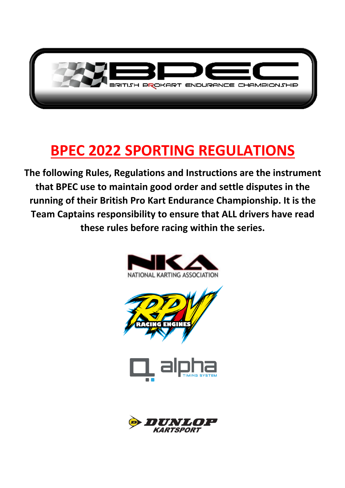

# **BPEC 2022 SPORTING REGULATIONS**

**The following Rules, Regulations and Instructions are the instrument that BPEC use to maintain good order and settle disputes in the running of their British Pro Kart Endurance Championship. It is the Team Captains responsibility to ensure that ALL drivers have read these rules before racing within the series.**



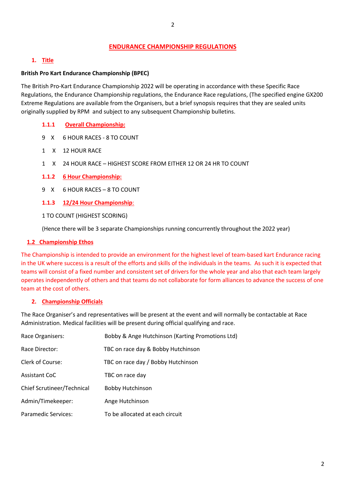#### **ENDURANCE CHAMPIONSHIP REGULATIONS**

#### **1. Title**

#### **British Pro Kart Endurance Championship (BPEC)**

The British Pro-Kart Endurance Championship 2022 will be operating in accordance with these Specific Race Regulations, the Endurance Championship regulations, the Endurance Race regulations, (The specified engine GX200 Extreme Regulations are available from the Organisers, but a brief synopsis requires that they are sealed units originally supplied by RPM and subject to any subsequent Championship bulletins.

- **1.1.1 Overall Championship:**
- 9 X 6 HOUR RACES 8 TO COUNT
- 1 X 12 HOUR RACE
- 1 X 24 HOUR RACE HIGHEST SCORE FROM EITHER 12 OR 24 HR TO COUNT
- **1.1.2 6 Hour Championship:**
- 9 X 6 HOUR RACES 8 TO COUNT
- **1.1.3 12/24 Hour Championship**:
- 1 TO COUNT (HIGHEST SCORING)

(Hence there will be 3 separate Championships running concurrently throughout the 2022 year)

#### **1.2 Championship Ethos**

The Championship is intended to provide an environment for the highest level of team-based kart Endurance racing in the UK where success is a result of the efforts and skills of the individuals in the teams. As such it is expected that teams will consist of a fixed number and consistent set of drivers for the whole year and also that each team largely operates independently of others and that teams do not collaborate for form alliances to advance the success of one team at the cost of others.

#### **2. Championship Officials**

The Race Organiser's and representatives will be present at the event and will normally be contactable at Race Administration. Medical facilities will be present during official qualifying and race.

| Race Organisers:           | Bobby & Ange Hutchinson (Karting Promotions Ltd) |
|----------------------------|--------------------------------------------------|
| Race Director:             | TBC on race day & Bobby Hutchinson               |
| Clerk of Course:           | TBC on race day / Bobby Hutchinson               |
| <b>Assistant CoC</b>       | TBC on race day                                  |
| Chief Scrutineer/Technical | <b>Bobby Hutchinson</b>                          |
| Admin/Timekeeper:          | Ange Hutchinson                                  |
| <b>Paramedic Services:</b> | To be allocated at each circuit                  |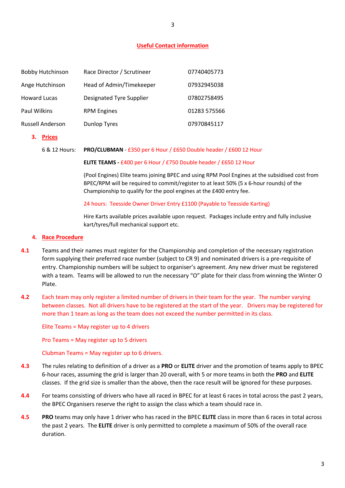3

#### **Useful Contact information**

| <b>Bobby Hutchinson</b> | Race Director / Scrutineer | 07740405773  |
|-------------------------|----------------------------|--------------|
| Ange Hutchinson         | Head of Admin/Timekeeper   | 07932945038  |
| <b>Howard Lucas</b>     | Designated Tyre Supplier   | 07802758495  |
| Paul Wilkins            | <b>RPM Engines</b>         | 01283 575566 |
| <b>Russell Anderson</b> | <b>Dunlop Tyres</b>        | 07970845117  |

**3. Prices**

#### 6 & 12 Hours: **PRO/CLUBMAN** - £350 per 6 Hour / £650 Double header / £600 12 Hour

#### **ELITE TEAMS -** £400 per 6 Hour / £750 Double header / £650 12 Hour

(Pool Engines) Elite teams joining BPEC and using RPM Pool Engines at the subsidised cost from BPEC/RPM will be required to commit/register to at least 50% (5 x 6-hour rounds) of the Championship to qualify for the pool engines at the £400 entry fee.

#### 24 hours: Teesside Owner Driver Entry £1100 (Payable to Teesside Karting)

Hire Karts available prices available upon request. Packages include entry and fully inclusive kart/tyres/full mechanical support etc.

#### **4. Race Procedure**

- **4.1** Teams and their names must register for the Championship and completion of the necessary registration form supplying their preferred race number (subject to CR 9) and nominated drivers is a pre-requisite of entry. Championship numbers will be subject to organiser's agreement. Any new driver must be registered with a team. Teams will be allowed to run the necessary "O" plate for their class from winning the Winter O Plate.
- **4.2** Each team may only register a limited number of drivers in their team for the year. The number varying between classes. Not all drivers have to be registered at the start of the year. Drivers may be registered for more than 1 team as long as the team does not exceed the number permitted in its class.

Elite Teams = May register up to 4 drivers

Pro Teams = May register up to 5 drivers

Clubman Teams = May register up to 6 drivers.

- **4.3** The rules relating to definition of a driver as a **PRO** or **ELITE** driver and the promotion of teams apply to BPEC 6-hour races, assuming the grid is larger than 20 overall, with 5 or more teams in both the **PRO** and **ELITE**  classes. If the grid size is smaller than the above, then the race result will be ignored for these purposes.
- **4.4** For teams consisting of drivers who have all raced in BPEC for at least 6 races in total across the past 2 years, the BPEC Organisers reserve the right to assign the class which a team should race in.
- **4.5 PRO** teams may only have 1 driver who has raced in the BPEC **ELITE** class in more than 6 races in total across the past 2 years. The **ELITE** driver is only permitted to complete a maximum of 50% of the overall race duration.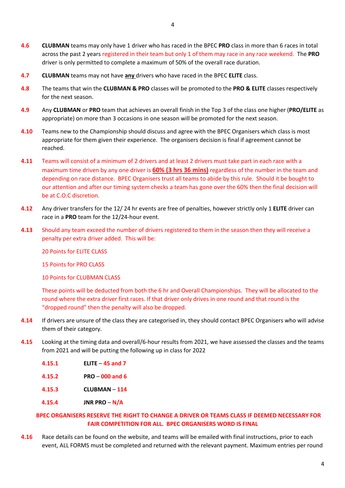- **4.6 CLUBMAN** teams may only have 1 driver who has raced in the BPEC **PRO** class in more than 6 races in total across the past 2 years registered in their team but only 1 of them may race in any race weekend. The **PRO**  driver is only permitted to complete a maximum of 50% of the overall race duration.
- **4.7 CLUBMAN** teams may not have **any** drivers who have raced in the BPEC **ELITE** class.
- **4.8** The teams that win the **CLUBMAN & PRO** classes will be promoted to the **PRO & ELITE** classes respectively for the next season.
- **4.9** Any **CLUBMAN** or **PRO** team that achieves an overall finish in the Top 3 of the class one higher (**PRO/ELITE** as appropriate) on more than 3 occasions in one season will be promoted for the next season.
- **4.10** Teams new to the Championship should discuss and agree with the BPEC Organisers which class is most appropriate for them given their experience. The organisers decision is final if agreement cannot be reached.
- **4.11** Teams will consist of a minimum of 2 drivers and at least 2 drivers must take part in each race with a maximum time driven by any one driver is **60% (3 hrs 36 mins)** regardless of the number in the team and depending on race distance. BPEC Organisers trust all teams to abide by this rule. Should it be bought to our attention and after our timing system checks a team has gone over the 60% then the final decision will be at C.O.C discretion.
- **4.12** Any driver transfers for the 12/ 24 hr events are free of penalties, however strictly only 1 **ELITE** driver can race in a **PRO** team for the 12/24-hour event.
- **4.13** Should any team exceed the number of drivers registered to them in the season then they will receive a penalty per extra driver added. This will be:

20 Points for ELITE CLASS

15 Points for PRO CLASS

10 Points for CLUBMAN CLASS

These points will be deducted from both the 6 hr and Overall Championships. They will be allocated to the round where the extra driver first races. If that driver only drives in one round and that round is the "dropped round" then the penalty will also be dropped.

- **4.14** If drivers are unsure of the class they are categorised in, they should contact BPEC Organisers who will advise them of their category.
- **4.15** Looking at the timing data and overall/6-hour results from 2021, we have assessed the classes and the teams from 2021 and will be putting the following up in class for 2022
	- **4.15.1 ELITE 45 and 7**
	- **4.15.2 PRO 000 and 6**
	- **4.15.3 CLUBMAN 114**
	- **4.15.4 JNR PRO N/A**

#### **BPEC ORGANISERS RESERVE THE RIGHT TO CHANGE A DRIVER OR TEAMS CLASS IF DEEMED NECESSARY FOR FAIR COMPETITION FOR ALL. BPEC ORGANISERS WORD IS FINAL**

**4.16** Race details can be found on the website, and teams will be emailed with final instructions, prior to each event, ALL FORMS must be completed and returned with the relevant payment. Maximum entries per round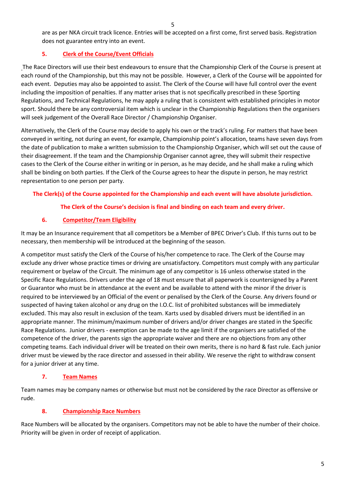are as per NKA circuit track licence. Entries will be accepted on a first come, first served basis. Registration does not guarantee entry into an event.

# **5. Clerk of the Course/Event Officials**

The Race Directors will use their best endeavours to ensure that the Championship Clerk of the Course is present at each round of the Championship, but this may not be possible. However, a Clerk of the Course will be appointed for each event. Deputies may also be appointed to assist. The Clerk of the Course will have full control over the event including the imposition of penalties. If any matter arises that is not specifically prescribed in these Sporting Regulations, and Technical Regulations, he may apply a ruling that is consistent with established principles in motor sport. Should there be any controversial item which is unclear in the Championship Regulations then the organisers will seek judgement of the Overall Race Director / Championship Organiser.

Alternatively, the Clerk of the Course may decide to apply his own or the track's ruling. For matters that have been conveyed in writing, not during an event, for example, Championship point's allocation, teams have seven days from the date of publication to make a written submission to the Championship Organiser, which will set out the cause of their disagreement. If the team and the Championship Organiser cannot agree, they will submit their respective cases to the Clerk of the Course either in writing or in person, as he may decide, and he shall make a ruling which shall be binding on both parties. If the Clerk of the Course agrees to hear the dispute in person, he may restrict representation to one person per party.

# **The Clerk(s) of the Course appointed for the Championship and each event will have absolute jurisdiction.**

# **The Clerk of the Course's decision is final and binding on each team and every driver.**

## **6. Competitor/Team Eligibility**

It may be an Insurance requirement that all competitors be a Member of BPEC Driver's Club. If this turns out to be necessary, then membership will be introduced at the beginning of the season.

A competitor must satisfy the Clerk of the Course of his/her competence to race. The Clerk of the Course may exclude any driver whose practice times or driving are unsatisfactory. Competitors must comply with any particular requirement or byelaw of the Circuit. The minimum age of any competitor is 16 unless otherwise stated in the Specific Race Regulations. Drivers under the age of 18 must ensure that all paperwork is countersigned by a Parent or Guarantor who must be in attendance at the event and be available to attend with the minor if the driver is required to be interviewed by an Official of the event or penalised by the Clerk of the Course. Any drivers found or suspected of having taken alcohol or any drug on the I.O.C. list of prohibited substances will be immediately excluded. This may also result in exclusion of the team. Karts used by disabled drivers must be identified in an appropriate manner. The minimum/maximum number of drivers and/or driver changes are stated in the Specific Race Regulations. Junior drivers - exemption can be made to the age limit if the organisers are satisfied of the competence of the driver, the parents sign the appropriate waiver and there are no objections from any other competing teams. Each individual driver will be treated on their own merits, there is no hard & fast rule. Each junior driver must be viewed by the race director and assessed in their ability. We reserve the right to withdraw consent for a junior driver at any time.

# **7. Team Names**

Team names may be company names or otherwise but must not be considered by the race Director as offensive or rude.

#### **8. Championship Race Numbers**

Race Numbers will be allocated by the organisers. Competitors may not be able to have the number of their choice. Priority will be given in order of receipt of application.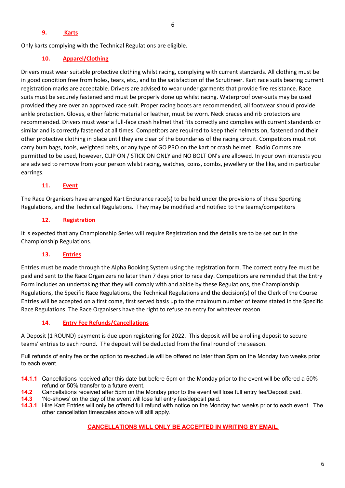#### 6

#### **9. Karts**

Only karts complying with the Technical Regulations are eligible.

#### **10. Apparel/Clothing**

Drivers must wear suitable protective clothing whilst racing, complying with current standards. All clothing must be in good condition free from holes, tears, etc., and to the satisfaction of the Scrutineer. Kart race suits bearing current registration marks are acceptable. Drivers are advised to wear under garments that provide fire resistance. Race suits must be securely fastened and must be properly done up whilst racing. Waterproof over-suits may be used provided they are over an approved race suit. Proper racing boots are recommended, all footwear should provide ankle protection. Gloves, either fabric material or leather, must be worn. Neck braces and rib protectors are recommended. Drivers must wear a full-face crash helmet that fits correctly and complies with current standards or similar and is correctly fastened at all times. Competitors are required to keep their helmets on, fastened and their other protective clothing in place until they are clear of the boundaries of the racing circuit. Competitors must not carry bum bags, tools, weighted belts, or any type of GO PRO on the kart or crash helmet. Radio Comms are permitted to be used, however, CLIP ON / STICK ON ONLY and NO BOLT ON's are allowed. In your own interests you are advised to remove from your person whilst racing, watches, coins, combs, jewellery or the like, and in particular earrings.

#### **11. Event**

The Race Organisers have arranged Kart Endurance race(s) to be held under the provisions of these Sporting Regulations, and the Technical Regulations. They may be modified and notified to the teams/competitors

#### **12. Registration**

It is expected that any Championship Series will require Registration and the details are to be set out in the Championship Regulations.

#### **13. Entries**

Entries must be made through the Alpha Booking System using the registration form. The correct entry fee must be paid and sent to the Race Organizers no later than 7 days prior to race day. Competitors are reminded that the Entry Form includes an undertaking that they will comply with and abide by these Regulations, the Championship Regulations, the Specific Race Regulations, the Technical Regulations and the decision(s) of the Clerk of the Course. Entries will be accepted on a first come, first served basis up to the maximum number of teams stated in the Specific Race Regulations. The Race Organisers have the right to refuse an entry for whatever reason.

#### **14. Entry Fee Refunds/Cancellations**

A Deposit (1 ROUND) payment is due upon registering for 2022. This deposit will be a rolling deposit to secure teams' entries to each round. The deposit will be deducted from the final round of the season.

Full refunds of entry fee or the option to re-schedule will be offered no later than 5pm on the Monday two weeks prior to each event.

- **14.1.1** Cancellations received after this date but before 5pm on the Monday prior to the event will be offered a 50% refund or 50% transfer to a future event.
- **14.2** Cancellations received after 5pm on the Monday prior to the event will lose full entry fee/Deposit paid.
- **14.3** 'No-shows' on the day of the event will lose full entry fee/deposit paid.
- **14.3.1** Hire Kart Entries will only be offered full refund with notice on the Monday two weeks prior to each event. The other cancellation timescales above will still apply.

#### **CANCELLATIONS WILL ONLY BE ACCEPTED IN WRITING BY EMAIL.**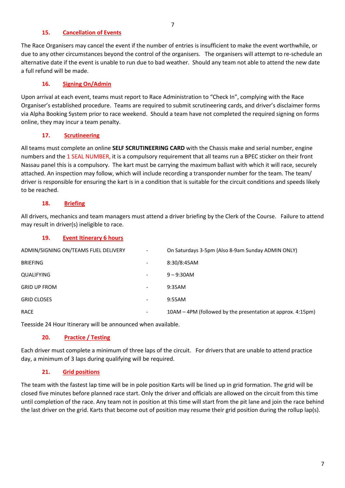#### **15. Cancellation of Events**

The Race Organisers may cancel the event if the number of entries is insufficient to make the event worthwhile, or due to any other circumstances beyond the control of the organisers. The organisers will attempt to re-schedule an alternative date if the event is unable to run due to bad weather. Should any team not able to attend the new date a full refund will be made.

#### **16. Signing On/Admin**

Upon arrival at each event, teams must report to Race Administration to "Check In", complying with the Race Organiser's established procedure. Teams are required to submit scrutineering cards, and driver's disclaimer forms via Alpha Booking System prior to race weekend. Should a team have not completed the required signing on forms online, they may incur a team penalty.

## **17. Scrutineering**

All teams must complete an online **SELF SCRUTINEERING CARD** with the Chassis make and serial number, engine numbers and the 1 SEAL NUMBER, it is a compulsory requirement that all teams run a BPEC sticker on their front Nassau panel this is a compulsory. The kart must be carrying the maximum ballast with which it will race, securely attached. An inspection may follow, which will include recording a transponder number for the team. The team/ driver is responsible for ensuring the kart is in a condition that is suitable for the circuit conditions and speeds likely to be reached.

#### **18. Briefing**

All drivers, mechanics and team managers must attend a driver briefing by the Clerk of the Course. Failure to attend may result in driver(s) ineligible to race.

## **19. Event Itinerary 6 hours**

| ADMIN/SIGNING ON/TEAMS FUEL DELIVERY | $\overline{\phantom{0}}$ | On Saturdays 3-5pm (Also 8-9am Sunday ADMIN ONLY)           |
|--------------------------------------|--------------------------|-------------------------------------------------------------|
| <b>BRIEFING</b>                      | $\overline{\phantom{a}}$ | 8:30/8:45AM                                                 |
| QUALIFYING                           | -                        | $9 - 9:30$ AM                                               |
| <b>GRID UP FROM</b>                  | $\overline{\phantom{a}}$ | 9:35AM                                                      |
| <b>GRID CLOSES</b>                   | $\overline{\phantom{a}}$ | 9:55AM                                                      |
| RACE                                 | ۰                        | 10AM - 4PM (followed by the presentation at approx. 4:15pm) |

Teesside 24 Hour Itinerary will be announced when available.

# **20. Practice / Testing**

Each driver must complete a minimum of three laps of the circuit. For drivers that are unable to attend practice day, a minimum of 3 laps during qualifying will be required.

#### **21. Grid positions**

The team with the fastest lap time will be in pole position Karts will be lined up in grid formation. The grid will be closed five minutes before planned race start. Only the driver and officials are allowed on the circuit from this time until completion of the race. Any team not in position at this time will start from the pit lane and join the race behind the last driver on the grid. Karts that become out of position may resume their grid position during the rollup lap(s).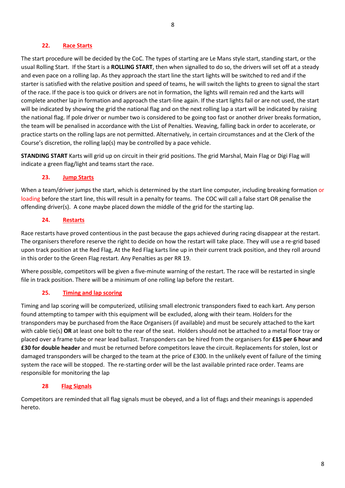#### **22. Race Starts**

The start procedure will be decided by the CoC. The types of starting are Le Mans style start, standing start, or the usual Rolling Start. If the Start is a **ROLLING START**, then when signalled to do so, the drivers will set off at a steady and even pace on a rolling lap. As they approach the start line the start lights will be switched to red and if the starter is satisfied with the relative position and speed of teams, he will switch the lights to green to signal the start of the race. If the pace is too quick or drivers are not in formation, the lights will remain red and the karts will complete another lap in formation and approach the start-line again. If the start lights fail or are not used, the start will be indicated by showing the grid the national flag and on the next rolling lap a start will be indicated by raising the national flag. If pole driver or number two is considered to be going too fast or another driver breaks formation, the team will be penalised in accordance with the List of Penalties. Weaving, falling back in order to accelerate, or practice starts on the rolling laps are not permitted. Alternatively, in certain circumstances and at the Clerk of the Course's discretion, the rolling lap(s) may be controlled by a pace vehicle.

**STANDING START** Karts will grid up on circuit in their grid positions. The grid Marshal, Main Flag or Digi Flag will indicate a green flag/light and teams start the race.

#### **23. Jump Starts**

When a team/driver jumps the start, which is determined by the start line computer, including breaking formation or loading before the start line, this will result in a penalty for teams. The COC will call a false start OR penalise the offending driver(s). A cone maybe placed down the middle of the grid for the starting lap.

#### **24. Restarts**

Race restarts have proved contentious in the past because the gaps achieved during racing disappear at the restart. The organisers therefore reserve the right to decide on how the restart will take place. They will use a re-grid based upon track position at the Red Flag, At the Red Flag karts line up in their current track position, and they roll around in this order to the Green Flag restart. Any Penalties as per RR 19.

Where possible, competitors will be given a five-minute warning of the restart. The race will be restarted in single file in track position. There will be a minimum of one rolling lap before the restart.

#### **25. Timing and lap scoring**

Timing and lap scoring will be computerized, utilising small electronic transponders fixed to each kart. Any person found attempting to tamper with this equipment will be excluded, along with their team. Holders for the transponders may be purchased from the Race Organisers (if available) and must be securely attached to the kart with cable tie(s) **OR** at least one bolt to the rear of the seat. Holders should not be attached to a metal floor tray or placed over a frame tube or near lead ballast. Transponders can be hired from the organisers for **£15 per 6 hour and £30 for double header** and must be returned before competitors leave the circuit. Replacements for stolen, lost or damaged transponders will be charged to the team at the price of £300. In the unlikely event of failure of the timing system the race will be stopped. The re-starting order will be the last available printed race order. Teams are responsible for monitoring the lap

#### **28 Flag Signals**

Competitors are reminded that all flag signals must be obeyed, and a list of flags and their meanings is appended hereto.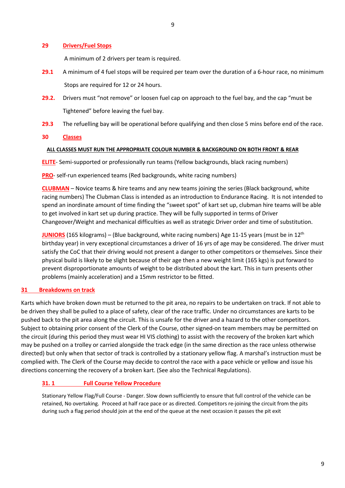#### **29 Drivers/Fuel Stops**

A minimum of 2 drivers per team is required.

- **29.1** A minimum of 4 fuel stops will be required per team over the duration of a 6-hour race, no minimum Stops are required for 12 or 24 hours.
- **29.2.** Drivers must "not remove" or loosen fuel cap on approach to the fuel bay, and the cap "must be Tightened" before leaving the fuel bay.
- **29.3** The refuelling bay will be operational before qualifying and then close 5 mins before end of the race.

#### **30 Classes**

#### **ALL CLASSES MUST RUN THE APPROPRIATE COLOUR NUMBER & BACKGROUND ON BOTH FRONT & REAR**

**ELITE**- Semi-supported or professionally run teams (Yellow backgrounds, black racing numbers)

**PRO**- self-run experienced teams (Red backgrounds, white racing numbers)

**CLUBMAN** – Novice teams & hire teams and any new teams joining the series (Black background, white racing numbers) The Clubman Class is intended as an introduction to Endurance Racing. It is not intended to spend an inordinate amount of time finding the "sweet spot" of kart set up, clubman hire teams will be able to get involved in kart set up during practice. They will be fully supported in terms of Driver Changeover/Weight and mechanical difficulties as well as strategic Driver order and time of substitution.

**JUNIORS** (165 kilograms) – (Blue background, white racing numbers) Age 11-15 years (must be in 12<sup>th</sup> birthday year) in very exceptional circumstances a driver of 16 yrs of age may be considered. The driver must satisfy the CoC that their driving would not present a danger to other competitors or themselves. Since their physical build is likely to be slight because of their age then a new weight limit (165 kgs) is put forward to prevent disproportionate amounts of weight to be distributed about the kart. This in turn presents other problems (mainly acceleration) and a 15mm restrictor to be fitted.

#### **31 Breakdowns on track**

Karts which have broken down must be returned to the pit area, no repairs to be undertaken on track. If not able to be driven they shall be pulled to a place of safety, clear of the race traffic. Under no circumstances are karts to be pushed back to the pit area along the circuit. This is unsafe for the driver and a hazard to the other competitors. Subject to obtaining prior consent of the Clerk of the Course, other signed-on team members may be permitted on the circuit (during this period they must wear HI VIS clothing) to assist with the recovery of the broken kart which may be pushed on a trolley or carried alongside the track edge (in the same direction as the race unless otherwise directed) but only when that sector of track is controlled by a stationary yellow flag. A marshal's instruction must be complied with. The Clerk of the Course may decide to control the race with a pace vehicle or yellow and issue his directions concerning the recovery of a broken kart. (See also the Technical Regulations).

#### **31. 1 Full Course Yellow Procedure**

Stationary Yellow Flag/Full Course - Danger. Slow down sufficiently to ensure that full control of the vehicle can be retained, No overtaking. Proceed at half race pace or as directed. Competitors re-joining the circuit from the pits during such a flag period should join at the end of the queue at the next occasion it passes the pit exit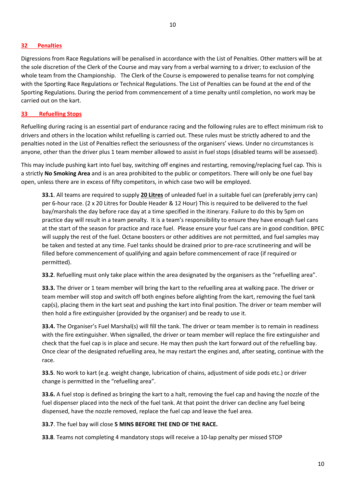Digressions from Race Regulations will be penalised in accordance with the List of Penalties. Other matters will be at the sole discretion of the Clerk of the Course and may vary from a verbal warning to a driver; to exclusion of the whole team from the Championship. The Clerk of the Course is empowered to penalise teams for not complying with the Sporting Race Regulations or Technical Regulations. The List of Penalties can be found at the end of the Sporting Regulations. During the period from commencement of a time penalty until completion, no work may be carried out on the kart.

#### **33 Refuelling Stops**

Refuelling during racing is an essential part of endurance racing and the following rules are to effect minimum risk to drivers and others in the location whilst refuelling is carried out. These rules must be strictly adhered to and the penalties noted in the List of Penalties reflect the seriousness of the organisers' views. Under no circumstances is anyone, other than the driver plus 1 team member allowed to assist in fuel stops (disabled teams will be assessed).

This may include pushing kart into fuel bay, switching off engines and restarting, removing/replacing fuel cap. This is a strictly **No Smoking Area** and is an area prohibited to the public or competitors. There will only be one fuel bay open, unless there are in excess of fifty competitors, in which case two will be employed.

**33.1**. All teams are required to supply **20 Litres** of unleaded fuel in a suitable fuel can (preferably jerry can) per 6-hour race. (2 x 20 Litres for Double Header & 12 Hour) This is required to be delivered to the fuel bay/marshals the day before race day at a time specified in the itinerary. Failure to do this by 5pm on practice day will result in a team penalty. It is a team's responsibility to ensure they have enough fuel cans at the start of the season for practice and race fuel. Please ensure your fuel cans are in good condition. BPEC will supply the rest of the fuel. Octane boosters or other additives are not permitted, and fuel samples may be taken and tested at any time. Fuel tanks should be drained prior to pre-race scrutineering and will be filled before commencement of qualifying and again before commencement of race (if required or permitted).

**33.2**. Refuelling must only take place within the area designated by the organisers as the "refuelling area".

**33.3.** The driver or 1 team member will bring the kart to the refuelling area at walking pace. The driver or team member will stop and switch off both engines before alighting from the kart, removing the fuel tank cap(s), placing them in the kart seat and pushing the kart into final position. The driver or team member will then hold a fire extinguisher (provided by the organiser) and be ready to use it.

**33.4.** The Organiser's Fuel Marshal(s) will fill the tank. The driver or team member is to remain in readiness with the fire extinguisher. When signalled, the driver or team member will replace the fire extinguisher and check that the fuel cap is in place and secure. He may then push the kart forward out of the refuelling bay. Once clear of the designated refuelling area, he may restart the engines and, after seating, continue with the race.

**33.5**. No work to kart (e.g. weight change, lubrication of chains, adjustment of side pods etc.) or driver change is permitted in the "refuelling area".

**33.6.** A fuel stop is defined as bringing the kart to a halt, removing the fuel cap and having the nozzle of the fuel dispenser placed into the neck of the fuel tank. At that point the driver can decline any fuel being dispensed, have the nozzle removed, replace the fuel cap and leave the fuel area.

#### **33.7**. The fuel bay will close **5 MINS BEFORE THE END OF THE RACE.**

**33.8**. Teams not completing 4 mandatory stops will receive a 10-lap penalty per missed STOP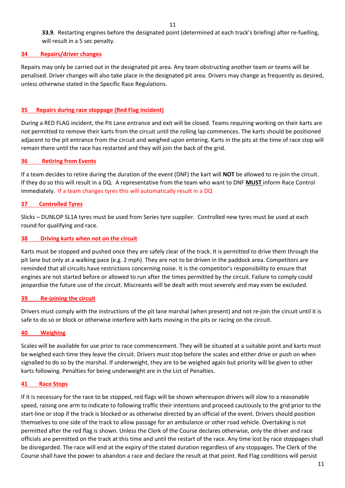**33.9**. Restarting engines before the designated point (determined at each track's briefing) after re-fuelling, will result in a 5 sec penalty.

#### **34 Repairs/driver changes**

Repairs may only be carried out in the designated pit area. Any team obstructing another team or teams will be penalised. Driver changes will also take place in the designated pit area. Drivers may change as frequently as desired, unless otherwise stated in the Specific Race Regulations.

#### **35 Repairs during race stoppage (Red Flag incident)**

During a RED FLAG incident, the Pit Lane entrance and exit will be closed. Teams requiring working on their karts are not permitted to remove their karts from the circuit until the rolling lap commences. The karts should be positioned adjacent to the pit entrance from the circuit and weighed upon entering. Karts in the pits at the time of race stop will remain there until the race has restarted and they will join the back of the grid.

#### **36 Retiring from Events**

If a team decides to retire during the duration of the event (DNF) the kart will **NOT** be allowed to re-join the circuit. If they do so this will result in a DQ. A representative from the team who want to DNF **MUST** inform Race Control immediately. If a team changes tyres this will automatically result in a DQ

#### **37 Controlled Tyres**

Slicks – DUNLOP SL1A tyres must be used from Series tyre supplier. Controlled new tyres must be used at each round for qualifying and race.

#### **38 Driving karts when not on the circuit**

Karts must be stopped and pushed once they are safely clear of the track. It is permitted to drive them through the pit lane but only at a walking pace (e.g. 2 mph). They are not to be driven in the paddock area. Competitors are reminded that all circuits have restrictions concerning noise. It is the competitor's responsibility to ensure that engines are not started before or allowed to run after the times permitted by the circuit. Failure to comply could jeopardise the future use of the circuit. Miscreants will be dealt with most severely and may even be excluded.

#### **39 Re-joining the circuit**

Drivers must comply with the instructions of the pit lane marshal (when present) and not re-join the circuit until it is safe to do so or block or otherwise interfere with karts moving in the pits or racing on the circuit.

#### **40 Weighing**

Scales will be available for use prior to race commencement. They will be situated at a suitable point and karts must be weighed each time they leave the circuit. Drivers must stop before the scales and either drive or push on when signalled to do so by the marshal. If underweight, they are to be weighed again but priority will be given to other karts following. Penalties for being underweight are in the List of Penalties.

#### **41 Race Stops**

If it is necessary for the race to be stopped, red flags will be shown whereupon drivers will slow to a reasonable speed, raising one arm to indicate to following traffic their intentions and proceed cautiously to the grid prior to the start-line or stop if the track is blocked or as otherwise directed by an official of the event. Drivers should position themselves to one side of the track to allow passage for an ambulance or other road vehicle. Overtaking is not permitted after the red flag is shown. Unless the Clerk of the Course declares otherwise, only the driver and race officials are permitted on the track at this time and until the restart of the race. Any time lost by race stoppages shall be disregarded. The race will end at the expiry of the stated duration regardless of any stoppages. The Clerk of the Course shall have the power to abandon a race and declare the result at that point. Red Flag conditions will persist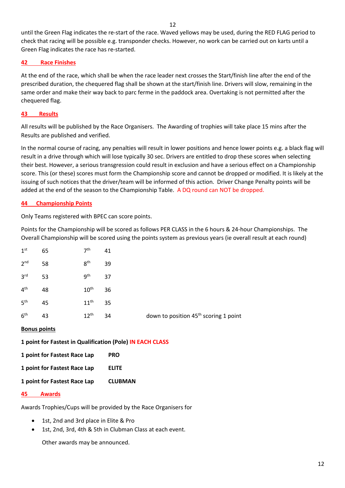12

until the Green Flag indicates the re-start of the race. Waved yellows may be used, during the RED FLAG period to check that racing will be possible e.g. transponder checks. However, no work can be carried out on karts until a Green Flag indicates the race has re-started.

#### **42 Race Finishes**

At the end of the race, which shall be when the race leader next crosses the Start/finish line after the end of the prescribed duration, the chequered flag shall be shown at the start/finish line. Drivers will slow, remaining in the same order and make their way back to parc ferme in the paddock area. Overtaking is not permitted after the chequered flag.

#### **43 Results**

All results will be published by the Race Organisers. The Awarding of trophies will take place 15 mins after the Results are published and verified.

In the normal course of racing, any penalties will result in lower positions and hence lower points e.g. a black flag will result in a drive through which will lose typically 30 sec. Drivers are entitled to drop these scores when selecting their best. However, a serious transgression could result in exclusion and have a serious effect on a Championship score. This (or these) scores must form the Championship score and cannot be dropped or modified. It is likely at the issuing of such notices that the driver/team will be informed of this action. Driver Change Penalty points will be added at the end of the season to the Championship Table. A DQ round can NOT be dropped.

#### **44 Championship Points**

Only Teams registered with BPEC can score points.

Points for the Championship will be scored as follows PER CLASS in the 6 hours & 24-hour Championships. The Overall Championship will be scored using the points system as previous years (ie overall result at each round)

| 1 <sup>st</sup> | 65 | 7 <sup>th</sup>  | 41 |                                                   |
|-----------------|----|------------------|----|---------------------------------------------------|
| 2 <sup>nd</sup> | 58 | 8 <sup>th</sup>  | 39 |                                                   |
| 3 <sup>rd</sup> | 53 | 9 <sup>th</sup>  | 37 |                                                   |
| $4^{\text{th}}$ | 48 | $10^{\text{th}}$ | 36 |                                                   |
| 5 <sup>th</sup> | 45 | $11^{\text{th}}$ | 35 |                                                   |
| 6 <sup>th</sup> | 43 | $12^{th}$        | 34 | down to position 45 <sup>th</sup> scoring 1 point |

#### **Bonus points**

|  |  | 1 point for Fastest in Qualification (Pole) IN EACH CLASS |
|--|--|-----------------------------------------------------------|
|--|--|-----------------------------------------------------------|

**1 point for Fastest Race Lap PRO** 

**1 point for Fastest Race Lap ELITE** 

**1 point for Fastest Race Lap CLUBMAN** 

#### **45 Awards**

Awards Trophies/Cups will be provided by the Race Organisers for

- 1st, 2nd and 3rd place in Elite & Pro
- 1st, 2nd, 3rd, 4th & 5th in Clubman Class at each event.

Other awards may be announced.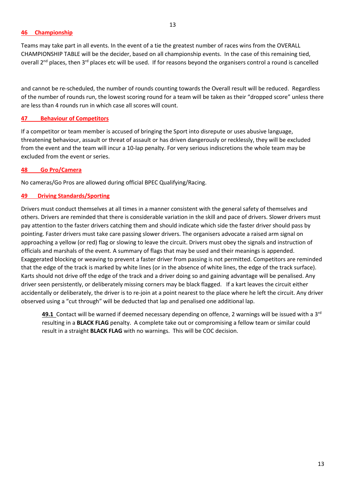Teams may take part in all events. In the event of a tie the greatest number of races wins from the OVERALL CHAMPIONSHIP TABLE will be the decider, based on all championship events. In the case of this remaining tied, overall 2<sup>nd</sup> places, then 3<sup>rd</sup> places etc will be used. If for reasons beyond the organisers control a round is cancelled

and cannot be re-scheduled, the number of rounds counting towards the Overall result will be reduced. Regardless of the number of rounds run, the lowest scoring round for a team will be taken as their "dropped score" unless there are less than 4 rounds run in which case all scores will count.

## **47 Behaviour of Competitors**

If a competitor or team member is accused of bringing the Sport into disrepute or uses abusive language, threatening behaviour, assault or threat of assault or has driven dangerously or recklessly, they will be excluded from the event and the team will incur a 10-lap penalty. For very serious indiscretions the whole team may be excluded from the event or series.

#### **48 Go Pro/Camera**

No cameras/Go Pros are allowed during official BPEC Qualifying/Racing.

#### **49 Driving Standards/Sporting**

Drivers must conduct themselves at all times in a manner consistent with the general safety of themselves and others. Drivers are reminded that there is considerable variation in the skill and pace of drivers. Slower drivers must pay attention to the faster drivers catching them and should indicate which side the faster driver should pass by pointing. Faster drivers must take care passing slower drivers. The organisers advocate a raised arm signal on approaching a yellow (or red) flag or slowing to leave the circuit. Drivers must obey the signals and instruction of officials and marshals of the event. A summary of flags that may be used and their meanings is appended. Exaggerated blocking or weaving to prevent a faster driver from passing is not permitted. Competitors are reminded that the edge of the track is marked by white lines (or in the absence of white lines, the edge of the track surface). Karts should not drive off the edge of the track and a driver doing so and gaining advantage will be penalised. Any driver seen persistently, or deliberately missing corners may be black flagged. If a kart leaves the circuit either accidentally or deliberately, the driver is to re-join at a point nearest to the place where he left the circuit. Any driver observed using a "cut through" will be deducted that lap and penalised one additional lap.

**49.1** Contact will be warned if deemed necessary depending on offence, 2 warnings will be issued with a 3rd resulting in a **BLACK FLAG** penalty. A complete take out or compromising a fellow team or similar could result in a straight **BLACK FLAG** with no warnings. This will be COC decision.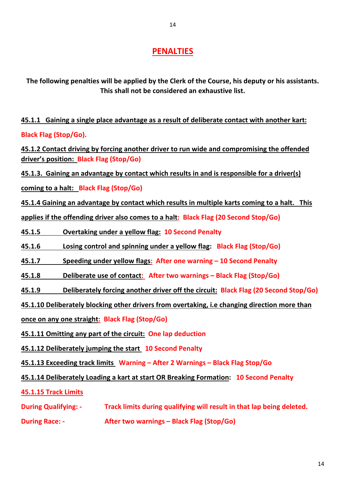# **PENALTIES**

**The following penalties will be applied by the Clerk of the Course, his deputy or his assistants. This shall not be considered an exhaustive list.**

**45.1.1 Gaining a single place advantage as a result of deliberate contact with another kart: Black Flag (Stop/Go).** 

**45.1.2 Contact driving by forcing another driver to run wide and compromising the offended driver's position: Black Flag (Stop/Go)**

**45.1.3. Gaining an advantage by contact which results in and is responsible for a driver(s)** 

**coming to a halt: Black Flag (Stop/Go)** 

**45.1.4 Gaining an advantage by contact which results in multiple karts coming to a halt. This**

**applies if the offending driver also comes to a halt: Black Flag (20 Second Stop/Go)** 

**45.1.5 Overtaking under a yellow flag: 10 Second Penalty**

**45.1.6 Losing control and spinning under a yellow flag: Black Flag (Stop/Go)** 

**45.1.7 Speeding under yellow flags: After one warning – 10 Second Penalty**

**45.1.8 Deliberate use of contact: After two warnings – Black Flag (Stop/Go)** 

**45.1.9 Deliberately forcing another driver off the circuit: Black Flag (20 Second Stop/Go)** 

**45.1.10 Deliberately blocking other drivers from overtaking, i.e changing direction more than**

**once on any one straight: Black Flag (Stop/Go)** 

**45.1.11 Omitting any part of the circuit: One lap deduction**

**45.1.12 Deliberately jumping the start 10 Second Penalty**

**45.1.13 Exceeding track limits Warning – After 2 Warnings – Black Flag Stop/Go**

**45.1.14 Deliberately Loading a kart at start OR Breaking Formation: 10 Second Penalty**

**45.1.15 Track Limits**

**During Qualifying: - Track limits during qualifying will result in that lap being deleted.** 

**During Race: - After two warnings – Black Flag (Stop/Go)**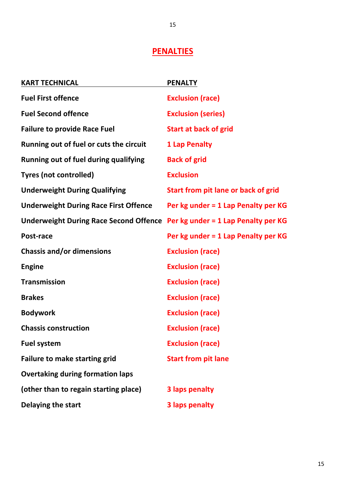# **PENALTIES**

| <b>KART TECHNICAL</b>                                                      | <b>PENALTY</b>                      |
|----------------------------------------------------------------------------|-------------------------------------|
| <b>Fuel First offence</b>                                                  | <b>Exclusion (race)</b>             |
| <b>Fuel Second offence</b>                                                 | <b>Exclusion (series)</b>           |
| <b>Failure to provide Race Fuel</b>                                        | <b>Start at back of grid</b>        |
| Running out of fuel or cuts the circuit                                    | <b>1 Lap Penalty</b>                |
| Running out of fuel during qualifying                                      | <b>Back of grid</b>                 |
| <b>Tyres (not controlled)</b>                                              | <b>Exclusion</b>                    |
| <b>Underweight During Qualifying</b>                                       | Start from pit lane or back of grid |
| <b>Underweight During Race First Offence</b>                               | Per kg under = 1 Lap Penalty per KG |
| Underweight During Race Second Offence Per kg under = 1 Lap Penalty per KG |                                     |
| Post-race                                                                  | Per kg under = 1 Lap Penalty per KG |
| <b>Chassis and/or dimensions</b>                                           | <b>Exclusion (race)</b>             |
| <b>Engine</b>                                                              | <b>Exclusion (race)</b>             |
| <b>Transmission</b>                                                        | <b>Exclusion (race)</b>             |
| <b>Brakes</b>                                                              | <b>Exclusion (race)</b>             |
| <b>Bodywork</b>                                                            | <b>Exclusion (race)</b>             |
| <b>Chassis construction</b>                                                | <b>Exclusion (race)</b>             |
| <b>Fuel system</b>                                                         | <b>Exclusion (race)</b>             |
| <b>Failure to make starting grid</b>                                       | <b>Start from pit lane</b>          |
| <b>Overtaking during formation laps</b>                                    |                                     |
| (other than to regain starting place)                                      | <b>3 laps penalty</b>               |
| Delaying the start                                                         | <b>3 laps penalty</b>               |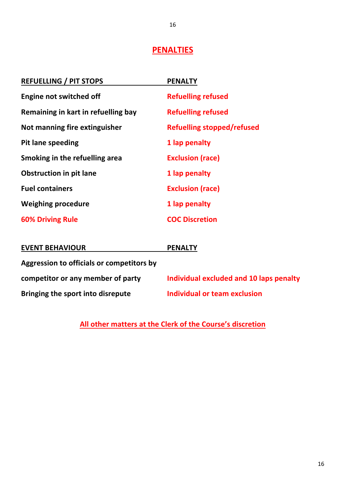# **PENALTIES**

| <b>REFUELLING / PIT STOPS</b>             | <b>PENALTY</b>                          |
|-------------------------------------------|-----------------------------------------|
| <b>Engine not switched off</b>            | <b>Refuelling refused</b>               |
| Remaining in kart in refuelling bay       | <b>Refuelling refused</b>               |
| Not manning fire extinguisher             | <b>Refuelling stopped/refused</b>       |
| <b>Pit lane speeding</b>                  | 1 lap penalty                           |
| Smoking in the refuelling area            | <b>Exclusion (race)</b>                 |
| <b>Obstruction in pit lane</b>            | 1 lap penalty                           |
| <b>Fuel containers</b>                    | <b>Exclusion (race)</b>                 |
| <b>Weighing procedure</b>                 | 1 lap penalty                           |
| <b>60% Driving Rule</b>                   | <b>COC Discretion</b>                   |
|                                           |                                         |
| <b>EVENT BEHAVIOUR</b>                    | <b>PENALTY</b>                          |
| Aggression to officials or competitors by |                                         |
| competitor or any member of party         | Individual excluded and 10 laps penalty |
| Bringing the sport into disrepute         | <b>Individual or team exclusion</b>     |
|                                           |                                         |

**All other matters at the Clerk of the Course's discretion**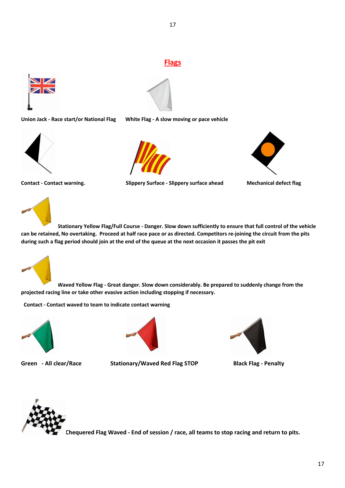# **Flags**





**Union Jack - Race start/or National Flag White Flag - A slow moving or pace vehicle**





**Contact - Contact warning. Slippery Surface - Slippery surface ahead Mechanical defect flag** 





**Stationary Yellow Flag/Full Course - Danger. Slow down sufficiently to ensure that full control of the vehicle can be retained, No overtaking. Proceed at half race pace or as directed. Competitors re-joining the circuit from the pits during such a flag period should join at the end of the queue at the next occasion it passes the pit exit** 



**Waved Yellow Flag - Great danger. Slow down considerably. Be prepared to suddenly change from the projected racing line or take other evasive action including stopping if necessary.**

 **Contact - Contact waved to team to indicate contact warning**





**Green - All clear/Race Stationary/Waved Red Flag STOP Black Flag - Penalty**





**Chequered Flag Waved - End of session / race, all teams to stop racing and return to pits.**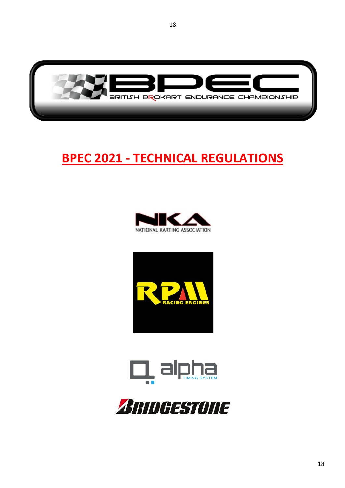

# **BPEC 2021 - TECHNICAL REGULATIONS**







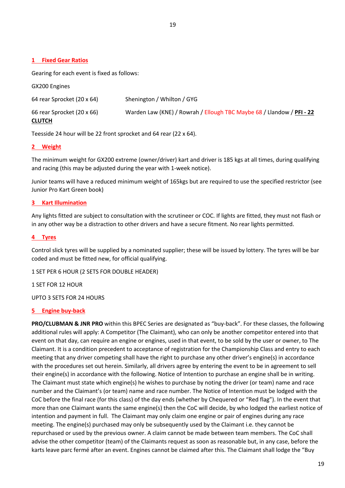#### **1 Fixed Gear Ratios**

GX200 Engines

Gearing for each event is fixed as follows:

| <b>UAZUU EHRIHES</b>                        |                                                                       |
|---------------------------------------------|-----------------------------------------------------------------------|
| 64 rear Sprocket (20 x 64)                  | Shenington / Whilton / GYG                                            |
| 66 rear Sprocket (20 x 66)<br><b>CLUTCH</b> | Warden Law (KNE) / Rowrah / Ellough TBC Maybe 68 / Llandow / PFI - 22 |

Teesside 24 hour will be 22 front sprocket and 64 rear (22 x 64).

#### **2 Weight**

The minimum weight for GX200 extreme (owner/driver) kart and driver is 185 kgs at all times, during qualifying and racing (this may be adjusted during the year with 1-week notice).

Junior teams will have a reduced minimum weight of 165kgs but are required to use the specified restrictor (see Junior Pro Kart Green book)

#### **3 Kart Illumination**

Any lights fitted are subject to consultation with the scrutineer or COC. If lights are fitted, they must not flash or in any other way be a distraction to other drivers and have a secure fitment. No rear lights permitted.

#### **4 Tyres**

Control slick tyres will be supplied by a nominated supplier; these will be issued by lottery. The tyres will be bar coded and must be fitted new, for official qualifying.

1 SET PER 6 HOUR (2 SETS FOR DOUBLE HEADER)

1 SET FOR 12 HOUR

UPTO 3 SETS FOR 24 HOURS

#### **5 Engine buy-back**

**PRO/CLUBMAN & JNR PRO** within this BPEC Series are designated as "buy-back". For these classes, the following additional rules will apply: A Competitor (The Claimant), who can only be another competitor entered into that event on that day, can require an engine or engines, used in that event, to be sold by the user or owner, to The Claimant. It is a condition precedent to acceptance of registration for the Championship Class and entry to each meeting that any driver competing shall have the right to purchase any other driver's engine(s) in accordance with the procedures set out herein. Similarly, all drivers agree by entering the event to be in agreement to sell their engine(s) in accordance with the following. Notice of Intention to purchase an engine shall be in writing. The Claimant must state which engine(s) he wishes to purchase by noting the driver (or team) name and race number and the Claimant's (or team) name and race number. The Notice of Intention must be lodged with the CoC before the final race (for this class) of the day ends (whether by Chequered or "Red flag"). In the event that more than one Claimant wants the same engine(s) then the CoC will decide, by who lodged the earliest notice of intention and payment in full. The Claimant may only claim one engine or pair of engines during any race meeting. The engine(s) purchased may only be subsequently used by the Claimant i.e. they cannot be repurchased or used by the previous owner. A claim cannot be made between team members. The CoC shall advise the other competitor (team) of the Claimants request as soon as reasonable but, in any case, before the karts leave parc fermé after an event. Engines cannot be claimed after this. The Claimant shall lodge the "Buy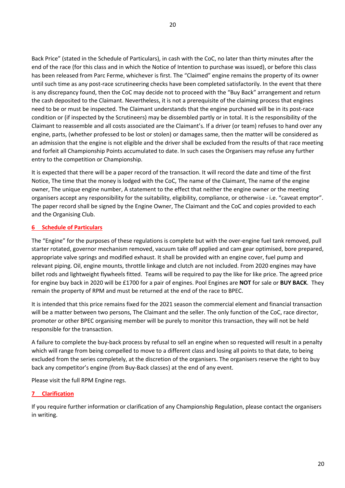Back Price" (stated in the Schedule of Particulars), in cash with the CoC, no later than thirty minutes after the end of the race (for this class and in which the Notice of Intention to purchase was issued), or before this class has been released from Parc Ferme, whichever is first. The "Claimed" engine remains the property of its owner until such time as any post-race scrutineering checks have been completed satisfactorily. In the event that there is any discrepancy found, then the CoC may decide not to proceed with the "Buy Back" arrangement and return the cash deposited to the Claimant. Nevertheless, it is not a prerequisite of the claiming process that engines need to be or must be inspected. The Claimant understands that the engine purchased will be in its post-race condition or (if inspected by the Scrutineers) may be dissembled partly or in total. It is the responsibility of the Claimant to reassemble and all costs associated are the Claimant's. If a driver (or team) refuses to hand over any engine, parts, (whether professed to be lost or stolen) or damages same, then the matter will be considered as an admission that the engine is not eligible and the driver shall be excluded from the results of that race meeting and forfeit all Championship Points accumulated to date. In such cases the Organisers may refuse any further entry to the competition or Championship.

It is expected that there will be a paper record of the transaction. It will record the date and time of the first Notice, The time that the money is lodged with the CoC, The name of the Claimant, The name of the engine owner, The unique engine number, A statement to the effect that neither the engine owner or the meeting organisers accept any responsibility for the suitability, eligibility, compliance, or otherwise - i.e. "caveat emptor". The paper record shall be signed by the Engine Owner, The Claimant and the CoC and copies provided to each and the Organising Club.

## **6 Schedule of Particulars**

The "Engine" for the purposes of these regulations is complete but with the over-engine fuel tank removed, pull starter rotated, governor mechanism removed, vacuum take off applied and cam gear optimised, bore prepared, appropriate valve springs and modified exhaust. It shall be provided with an engine cover, fuel pump and relevant piping. Oil, engine mounts, throttle linkage and clutch are not included. From 2020 engines may have billet rods and lightweight flywheels fitted. Teams will be required to pay the like for like price. The agreed price for engine buy back in 2020 will be £1700 for a pair of engines. Pool Engines are **NOT** for sale or **BUY BACK**. They remain the property of RPM and must be returned at the end of the race to BPEC.

It is intended that this price remains fixed for the 2021 season the commercial element and financial transaction will be a matter between two persons, The Claimant and the seller. The only function of the CoC, race director, promoter or other BPEC organising member will be purely to monitor this transaction, they will not be held responsible for the transaction.

A failure to complete the buy-back process by refusal to sell an engine when so requested will result in a penalty which will range from being compelled to move to a different class and losing all points to that date, to being excluded from the series completely, at the discretion of the organisers. The organisers reserve the right to buy back any competitor's engine (from Buy-Back classes) at the end of any event.

Please visit the full RPM Engine regs.

#### **7 Clarification**

If you require further information or clarification of any Championship Regulation, please contact the organisers in writing.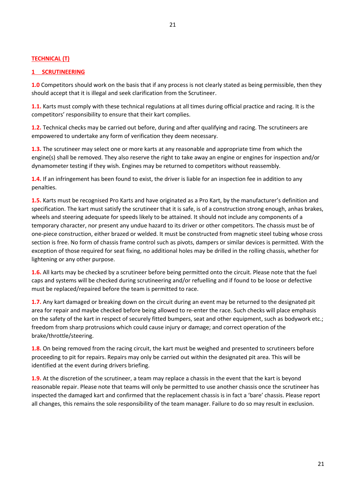#### **TECHNICAL (T)**

#### **1 SCRUTINEERING**

**1.0** Competitors should work on the basis that if any process is not clearly stated as being permissible, then they should accept that it is illegal and seek clarification from the Scrutineer.

**1.1.** Karts must comply with these technical regulations at all times during official practice and racing. It is the competitors' responsibility to ensure that their kart complies.

**1.2.** Technical checks may be carried out before, during and after qualifying and racing. The scrutineers are empowered to undertake any form of verification they deem necessary.

**1.3.** The scrutineer may select one or more karts at any reasonable and appropriate time from which the engine(s) shall be removed. They also reserve the right to take away an engine or engines for inspection and/or dynamometer testing if they wish. Engines may be returned to competitors without reassembly.

**1.4.** If an infringement has been found to exist, the driver is liable for an inspection fee in addition to any penalties.

**1.5.** Karts must be recognised Pro Karts and have originated as a Pro Kart, by the manufacturer's definition and specification. The kart must satisfy the scrutineer that it is safe, is of a construction strong enough, anhas brakes, wheels and steering adequate for speeds likely to be attained. It should not include any components of a temporary character, nor present any undue hazard to its driver or other competitors. The chassis must be of one-piece construction, either brazed or welded. It must be constructed from magnetic steel tubing whose cross section is free. No form of chassis frame control such as pivots, dampers or similar devices is permitted. With the exception of those required for seat fixing, no additional holes may be drilled in the rolling chassis, whether for lightening or any other purpose.

**1.6.** All karts may be checked by a scrutineer before being permitted onto the circuit. Please note that the fuel caps and systems will be checked during scrutineering and/or refuelling and if found to be loose or defective must be replaced/repaired before the team is permitted to race.

**1.7.** Any kart damaged or breaking down on the circuit during an event may be returned to the designated pit area for repair and maybe checked before being allowed to re-enter the race. Such checks will place emphasis on the safety of the kart in respect of securely fitted bumpers, seat and other equipment, such as bodywork etc.; freedom from sharp protrusions which could cause injury or damage; and correct operation of the brake/throttle/steering.

**1.8.** On being removed from the racing circuit, the kart must be weighed and presented to scrutineers before proceeding to pit for repairs. Repairs may only be carried out within the designated pit area. This will be identified at the event during drivers briefing.

**1.9.** At the discretion of the scrutineer, a team may replace a chassis in the event that the kart is beyond reasonable repair. Please note that teams will only be permitted to use another chassis once the scrutineer has inspected the damaged kart and confirmed that the replacement chassis is in fact a 'bare' chassis. Please report all changes, this remains the sole responsibility of the team manager. Failure to do so may result in exclusion.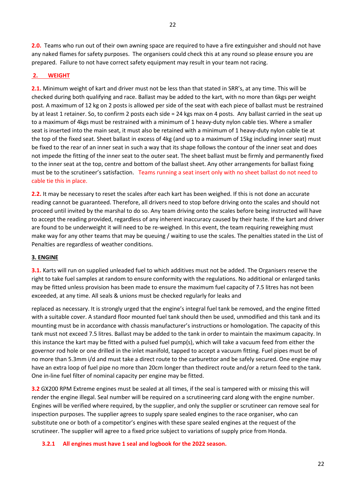**2.0.** Teams who run out of their own awning space are required to have a fire extinguisher and should not have any naked flames for safety purposes. The organisers could check this at any round so please ensure you are prepared. Failure to not have correct safety equipment may result in your team not racing.

#### **2. WEIGHT**

**2.1.** Minimum weight of kart and driver must not be less than that stated in SRR's, at any time. This will be checked during both qualifying and race. Ballast may be added to the kart, with no more than 6kgs per weight post. A maximum of 12 kg on 2 posts is allowed per side of the seat with each piece of ballast must be restrained by at least 1 retainer. So, to confirm 2 posts each side = 24 kgs max on 4 posts. Any ballast carried in the seat up to a maximum of 4kgs must be restrained with a minimum of 1 heavy-duty nylon cable ties. Where a smaller seat is inserted into the main seat, it must also be retained with a minimum of 1 heavy-duty nylon cable tie at the top of the fixed seat. Sheet ballast in excess of 4kg (and up to a maximum of 15kg including inner seat) must be fixed to the rear of an inner seat in such a way that its shape follows the contour of the inner seat and does not impede the fitting of the inner seat to the outer seat. The sheet ballast must be firmly and permanently fixed to the inner seat at the top, centre and bottom of the ballast sheet. Any other arrangements for ballast fixing must be to the scrutineer's satisfaction. Teams running a seat insert only with no sheet ballast do not need to cable tie this in place.

**2.2.** It may be necessary to reset the scales after each kart has been weighed. If this is not done an accurate reading cannot be guaranteed. Therefore, all drivers need to stop before driving onto the scales and should not proceed until invited by the marshal to do so. Any team driving onto the scales before being instructed will have to accept the reading provided, regardless of any inherent inaccuracy caused by their haste. If the kart and driver are found to be underweight it will need to be re-weighed. In this event, the team requiring reweighing must make way for any other teams that may be queuing / waiting to use the scales. The penalties stated in the List of Penalties are regardless of weather conditions.

#### **3. ENGINE**

**3.1.** Karts will run on supplied unleaded fuel to which additives must not be added. The Organisers reserve the right to take fuel samples at random to ensure conformity with the regulations. No additional or enlarged tanks may be fitted unless provision has been made to ensure the maximum fuel capacity of 7.5 litres has not been exceeded, at any time. All seals & unions must be checked regularly for leaks and

replaced as necessary. It is strongly urged that the engine's integral fuel tank be removed, and the engine fitted with a suitable cover. A standard floor mounted fuel tank should then be used, unmodified and this tank and its mounting must be in accordance with chassis manufacturer's instructions or homologation. The capacity of this tank must not exceed 7.5 litres. Ballast may be added to the tank in order to maintain the maximum capacity. In this instance the kart may be fitted with a pulsed fuel pump(s), which will take a vacuum feed from either the governor rod hole or one drilled in the inlet manifold, tapped to accept a vacuum fitting. Fuel pipes must be of no more than 5.3mm i/d and must take a direct route to the carburettor and be safely secured. One engine may have an extra loop of fuel pipe no more than 20cm longer than thedirect route and/or a return feed to the tank. One in-line fuel filter of nominal capacity per engine may be fitted.

**3.2** GX200 RPM Extreme engines must be sealed at all times, if the seal is tampered with or missing this will render the engine illegal. Seal number will be required on a scrutineering card along with the engine number. Engines will be verified where required, by the supplier, and only the supplier or scrutineer can remove seal for inspection purposes. The supplier agrees to supply spare sealed engines to the race organiser, who can substitute one or both of a competitor's engines with these spare sealed engines at the request of the scrutineer. The supplier will agree to a fixed price subject to variations of supply price from Honda.

#### **3.2.1 All engines must have 1 seal and logbook for the 2022 season.**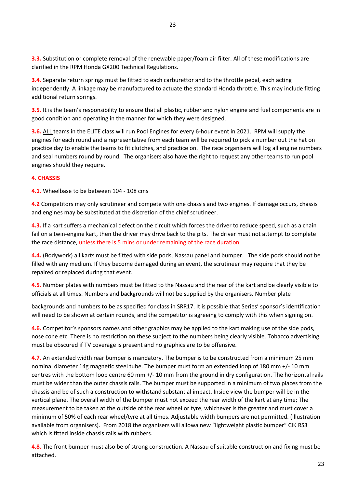**3.3.** Substitution or complete removal of the renewable paper/foam air filter. All of these modifications are clarified in the RPM Honda GX200 Technical Regulations.

**3.4.** Separate return springs must be fitted to each carburettor and to the throttle pedal, each acting independently. A linkage may be manufactured to actuate the standard Honda throttle. This may include fitting additional return springs.

**3.5.** It is the team's responsibility to ensure that all plastic, rubber and nylon engine and fuel components are in good condition and operating in the manner for which they were designed.

**3.6.** ALL teams in the ELITE class will run Pool Engines for every 6-hour event in 2021. RPM will supply the engines for each round and a representative from each team will be required to pick a number out the hat on practice day to enable the teams to fit clutches, and practice on. The race organisers will log all engine numbers and seal numbers round by round. The organisers also have the right to request any other teams to run pool engines should they require.

# **4. CHASSIS**

**4.1.** Wheelbase to be between 104 - 108 cms

**4.2** Competitors may only scrutineer and compete with one chassis and two engines. If damage occurs, chassis and engines may be substituted at the discretion of the chief scrutineer.

**4.3.** If a kart suffers a mechanical defect on the circuit which forces the driver to reduce speed, such as a chain fail on a twin-engine kart, then the driver may drive back to the pits. The driver must not attempt to complete the race distance, unless there is 5 mins or under remaining of the race duration.

**4.4.** (Bodywork) all karts must be fitted with side pods, Nassau panel and bumper. The side pods should not be filled with any medium. If they become damaged during an event, the scrutineer may require that they be repaired or replaced during that event.

**4.5.** Number plates with numbers must be fitted to the Nassau and the rear of the kart and be clearly visible to officials at all times. Numbers and backgrounds will not be supplied by the organisers. Number plate

backgrounds and numbers to be as specified for class in SRR17. It is possible that Series' sponsor's identification will need to be shown at certain rounds, and the competitor is agreeing to comply with this when signing on.

**4.6.** Competitor's sponsors names and other graphics may be applied to the kart making use of the side pods, nose cone etc. There is no restriction on these subject to the numbers being clearly visible. Tobacco advertising must be obscured if TV coverage is present and no graphics are to be offensive.

**4.7.** An extended width rear bumper is mandatory. The bumper is to be constructed from a minimum 25 mm nominal diameter 14g magnetic steel tube. The bumper must form an extended loop of 180 mm +/- 10 mm centres with the bottom loop centre 60 mm +/- 10 mm from the ground in dry configuration. The horizontal rails must be wider than the outer chassis rails. The bumper must be supported in a minimum of two places from the chassis and be of such a construction to withstand substantial impact. Inside view the bumper will be in the vertical plane. The overall width of the bumper must not exceed the rear width of the kart at any time; The measurement to be taken at the outside of the rear wheel or tyre, whichever is the greater and must cover a minimum of 50% of each rear wheel/tyre at all times. Adjustable width bumpers are not permitted. (Illustration available from organisers). From 2018 the organisers will allowa new "lightweight plastic bumper" CIK RS3 which is fitted inside chassis rails with rubbers.

**4.8.** The front bumper must also be of strong construction. A Nassau of suitable construction and fixing must be attached.